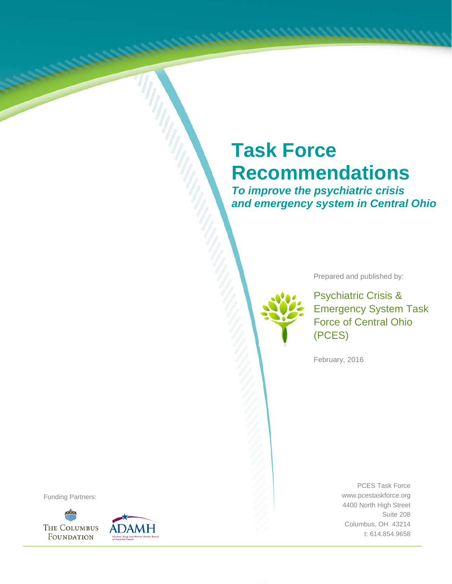# **Task Force Recommendations**

*To improve the psychiatric crisis and emergency system in Central Ohio*

Prepared and published by:

Psychiatric Crisis & Emergency System Task Force of Central Ohio (PCES)

February, 2016

PCES Task Force www.pcestaskforce.org 4400 North High Street Suite 208 Columbus, OH 43214 t: 614.854.9658

Funding Partners:



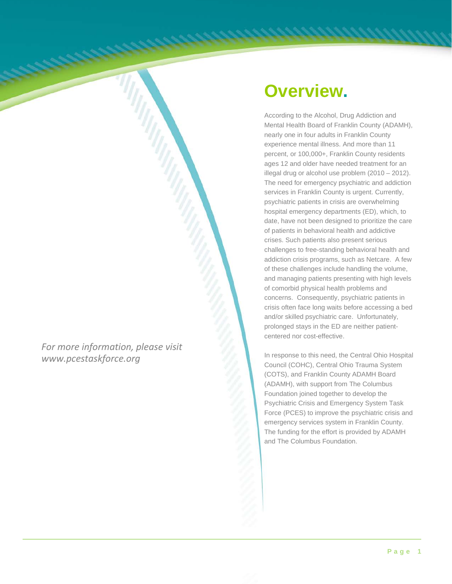*For more information, please visit www.pcestaskforce.org*

## **Overview.**

According to the Alcohol, Drug Addiction and Mental Health Board of Franklin County (ADAMH), nearly one in four adults in Franklin County experience mental illness. And more than 11 percent, or 100,000+, Franklin County residents ages 12 and older have needed treatment for an illegal drug or alcohol use problem (2010 – 2012). The need for emergency psychiatric and addiction services in Franklin County is urgent. Currently, psychiatric patients in crisis are overwhelming hospital emergency departments (ED), which, to date, have not been designed to prioritize the care of patients in behavioral health and addictive crises. Such patients also present serious challenges to free-standing behavioral health and addiction crisis programs, such as Netcare. A few of these challenges include handling the volume, and managing patients presenting with high levels of comorbid physical health problems and concerns. Consequently, psychiatric patients in crisis often face long waits before accessing a bed and/or skilled psychiatric care. Unfortunately, prolonged stays in the ED are neither patientcentered nor cost-effective.

In response to this need, the Central Ohio Hospital Council (COHC), Central Ohio Trauma System (COTS), and Franklin County ADAMH Board (ADAMH), with support from The Columbus Foundation joined together to develop the Psychiatric Crisis and Emergency System Task Force (PCES) to improve the psychiatric crisis and emergency services system in Franklin County. The funding for the effort is provided by ADAMH and The Columbus Foundation.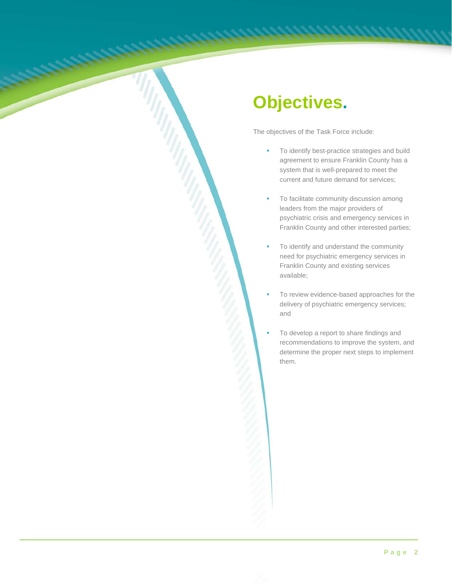# **Objectives.**

The objectives of the Task Force include:

- To identify best-practice strategies and build agreement to ensure Franklin County has a system that is well-prepared to meet the current and future demand for services;
- To facilitate community discussion among leaders from the major providers of psychiatric crisis and emergency services in Franklin County and other interested parties;
- To identify and understand the community need for psychiatric emergency services in Franklin County and existing services available;
- To review evidence-based approaches for the delivery of psychiatric emergency services; and
- To develop a report to share findings and recommendations to improve the system, and determine the proper next steps to implement them.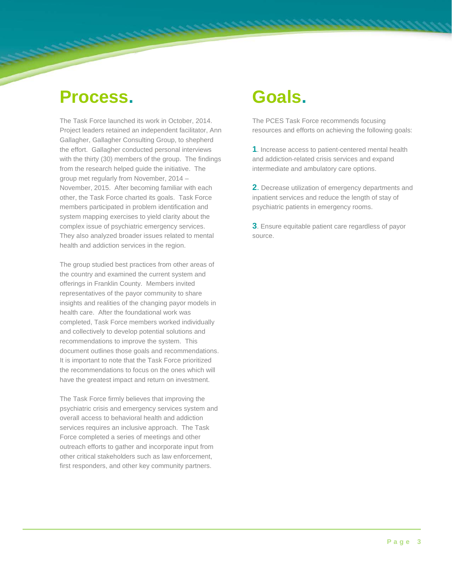#### **Process.**

The Task Force launched its work in October, 2014. Project leaders retained an independent facilitator, Ann Gallagher, Gallagher Consulting Group, to shepherd the effort. Gallagher conducted personal interviews with the thirty (30) members of the group. The findings from the research helped guide the initiative. The group met regularly from November, 2014 – November, 2015. After becoming familiar with each other, the Task Force charted its goals. Task Force members participated in problem identification and system mapping exercises to yield clarity about the complex issue of psychiatric emergency services. They also analyzed broader issues related to mental health and addiction services in the region.

<u> andrews and the completion of the completion of the completion of the completion of the completion of the completion of the completion of the completion of the completion of the completion of the completion of the comple</u>

The group studied best practices from other areas of the country and examined the current system and offerings in Franklin County. Members invited representatives of the payor community to share insights and realities of the changing payor models in health care. After the foundational work was completed, Task Force members worked individually and collectively to develop potential solutions and recommendations to improve the system. This document outlines those goals and recommendations. It is important to note that the Task Force prioritized the recommendations to focus on the ones which will have the greatest impact and return on investment.

The Task Force firmly believes that improving the psychiatric crisis and emergency services system and overall access to behavioral health and addiction services requires an inclusive approach. The Task Force completed a series of meetings and other outreach efforts to gather and incorporate input from other critical stakeholders such as law enforcement, first responders, and other key community partners.

# **Goals.**

The PCES Task Force recommends focusing resources and efforts on achieving the following goals:

**1**. Increase access to patient-centered mental health and addiction-related crisis services and expand intermediate and ambulatory care options.

**2**. Decrease utilization of emergency departments and inpatient services and reduce the length of stay of psychiatric patients in emergency rooms.

**3**. Ensure equitable patient care regardless of payor source.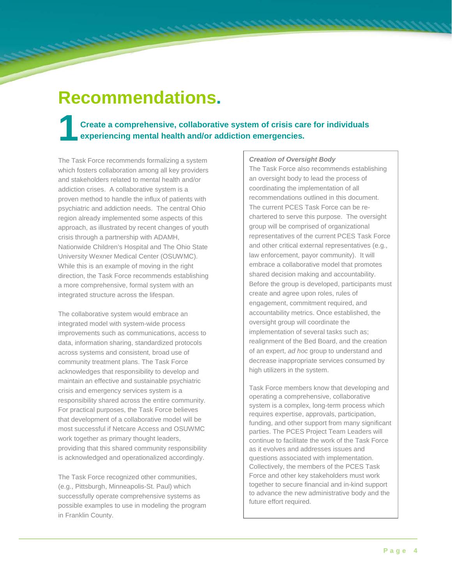# **Recommendations.**

#### **1 Create a comprehensive, collaborative system of crisis care for individuals experiencing mental health and/or addiction emergencies.**

The Task Force recommends formalizing a system which fosters collaboration among all key providers and stakeholders related to mental health and/or addiction crises. A collaborative system is a proven method to handle the influx of patients with psychiatric and addiction needs. The central Ohio region already implemented some aspects of this approach, as illustrated by recent changes of youth crisis through a partnership with ADAMH, Nationwide Children's Hospital and The Ohio State University Wexner Medical Center (OSUWMC). While this is an example of moving in the right direction, the Task Force recommends establishing a more comprehensive, formal system with an integrated structure across the lifespan.

The collaborative system would embrace an integrated model with system-wide process improvements such as communications, access to data, information sharing, standardized protocols across systems and consistent, broad use of community treatment plans. The Task Force acknowledges that responsibility to develop and maintain an effective and sustainable psychiatric crisis and emergency services system is a responsibility shared across the entire community. For practical purposes, the Task Force believes that development of a collaborative model will be most successful if Netcare Access and OSUWMC work together as primary thought leaders, providing that this shared community responsibility is acknowledged and operationalized accordingly.

The Task Force recognized other communities, (e.g., Pittsburgh, Minneapolis-St. Paul) which successfully operate comprehensive systems as possible examples to use in modeling the program in Franklin County.

#### *Creation of Oversight Body*

The Task Force also recommends establishing an oversight body to lead the process of coordinating the implementation of all recommendations outlined in this document. The current PCES Task Force can be rechartered to serve this purpose. The oversight group will be comprised of organizational representatives of the current PCES Task Force and other critical external representatives (e.g., law enforcement, payor community). It will embrace a collaborative model that promotes shared decision making and accountability. Before the group is developed, participants must create and agree upon roles, rules of engagement, commitment required, and accountability metrics. Once established, the oversight group will coordinate the implementation of several tasks such as; realignment of the Bed Board, and the creation of an expert, *ad hoc* group to understand and decrease inappropriate services consumed by high utilizers in the system.

Task Force members know that developing and operating a comprehensive, collaborative system is a complex, long-term process which requires expertise, approvals, participation, funding, and other support from many significant parties. The PCES Project Team Leaders will continue to facilitate the work of the Task Force as it evolves and addresses issues and questions associated with implementation. Collectively, the members of the PCES Task Force and other key stakeholders must work together to secure financial and in-kind support to advance the new administrative body and the future effort required.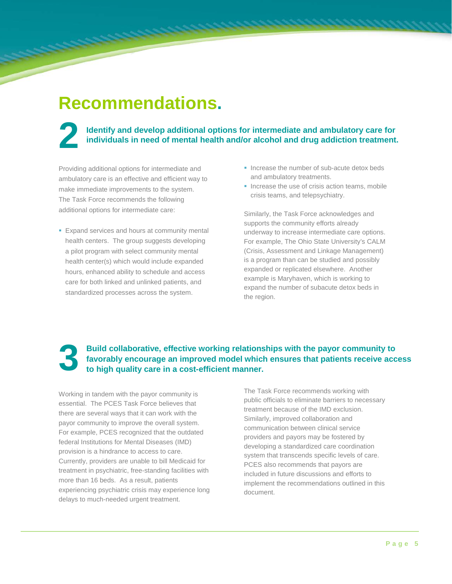#### **Recommendations.**

<u>registration of the company of the company of the company of the company of the company of the company of the company of the company of the company of the company of the company of the company of the company of the compan</u>

#### **2** Identify and develop additional options for intermediate and ambulatory care for individuals in need of mental health and/or alcohol and drug addiction treatment. **individuals in need of mental health and/or alcohol and drug addiction treatment.**

Providing additional options for intermediate and ambulatory care is an effective and efficient way to make immediate improvements to the system. The Task Force recommends the following additional options for intermediate care:

- **Expand services and hours at community mental** health centers. The group suggests developing a pilot program with select community mental health center(s) which would include expanded hours, enhanced ability to schedule and access care for both linked and unlinked patients, and standardized processes across the system.
- Increase the number of sub-acute detox beds and ambulatory treatments.
- $\blacksquare$  Increase the use of crisis action teams, mobile crisis teams, and telepsychiatry.

Similarly, the Task Force acknowledges and supports the community efforts already underway to increase intermediate care options. For example, The Ohio State University's CALM (Crisis, Assessment and Linkage Management) is a program than can be studied and possibly expanded or replicated elsewhere. Another example is Maryhaven, which is working to expand the number of subacute detox beds in the region.

#### **3 Build collaborative, effective working relationships with the payor community to favorably encourage an improved model which ensures that patients receive acc to high quality care in a cost-efficient manner. favorably encourage an improved model which ensures that patients receive access to high quality care in a cost-efficient manner.**

Working in tandem with the payor community is essential. The PCES Task Force believes that there are several ways that it can work with the payor community to improve the overall system. For example, PCES recognized that the outdated federal Institutions for Mental Diseases (IMD) provision is a hindrance to access to care. Currently, providers are unable to bill Medicaid for treatment in psychiatric, free-standing facilities with more than 16 beds. As a result, patients experiencing psychiatric crisis may experience long delays to much-needed urgent treatment.

The Task Force recommends working with public officials to eliminate barriers to necessary treatment because of the IMD exclusion. Similarly, improved collaboration and communication between clinical service providers and payors may be fostered by developing a standardized care coordination system that transcends specific levels of care. PCES also recommends that payors are included in future discussions and efforts to implement the recommendations outlined in this document.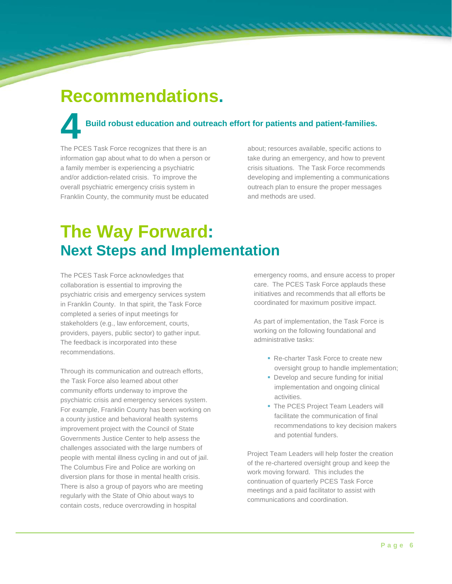### **Recommendations.**

فتتنبذون

# **Build robust education and outreach effort for patients and patient-families. 4** Build robust education and outr<br>The PCES Task Force recognizes that there is an

information gap about what to do when a person or a family member is experiencing a psychiatric and/or addiction-related crisis. To improve the overall psychiatric emergency crisis system in Franklin County, the community must be educated

about; resources available, specific actions to take during an emergency, and how to prevent crisis situations. The Task Force recommends developing and implementing a communications outreach plan to ensure the proper messages and methods are used.

### **The Way Forward: Next Steps and Implementation**

The PCES Task Force acknowledges that collaboration is essential to improving the psychiatric crisis and emergency services system in Franklin County. In that spirit, the Task Force completed a series of input meetings for stakeholders (e.g., law enforcement, courts, providers, payers, public sector) to gather input. The feedback is incorporated into these recommendations.

Through its communication and outreach efforts, the Task Force also learned about other community efforts underway to improve the psychiatric crisis and emergency services system. For example, Franklin County has been working on a county justice and behavioral health systems improvement project with the Council of State Governments Justice Center to help assess the challenges associated with the large numbers of people with mental illness cycling in and out of jail. The Columbus Fire and Police are working on diversion plans for those in mental health crisis. There is also a group of payors who are meeting regularly with the State of Ohio about ways to contain costs, reduce overcrowding in hospital

emergency rooms, and ensure access to proper care. The PCES Task Force applauds these initiatives and recommends that all efforts be coordinated for maximum positive impact.

As part of implementation, the Task Force is working on the following foundational and administrative tasks:

- **Re-charter Task Force to create new** oversight group to handle implementation:
- Develop and secure funding for initial implementation and ongoing clinical activities.
- The PCES Project Team Leaders will facilitate the communication of final recommendations to key decision makers and potential funders.

Project Team Leaders will help foster the creation of the re-chartered oversight group and keep the work moving forward. This includes the continuation of quarterly PCES Task Force meetings and a paid facilitator to assist with communications and coordination.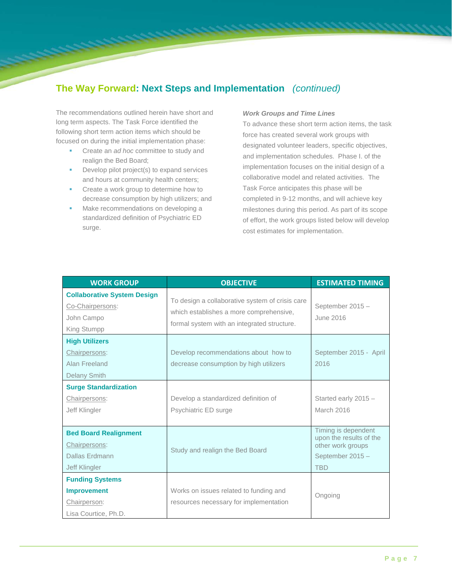#### **The Way Forward: Next Steps and Implementation** *(continued)*

The recommendations outlined herein have short and long term aspects. The Task Force identified the following short term action items which should be focused on during the initial implementation phase:

- **Create an** *ad hoc* **committee to study and** realign the Bed Board;
- Develop pilot project(s) to expand services and hours at community health centers;
- **•** Create a work group to determine how to decrease consumption by high utilizers; and
- Make recommendations on developing a standardized definition of Psychiatric ED surge.

#### *Work Groups and Time Lines*

To advance these short term action items, the task force has created several work groups with designated volunteer leaders, specific objectives, and implementation schedules. Phase I. of the implementation focuses on the initial design of a collaborative model and related activities. The Task Force anticipates this phase will be completed in 9-12 months, and will achieve key milestones during this period. As part of its scope of effort, the work groups listed below will develop cost estimates for implementation.

| <b>WORK GROUP</b>                                                                    | <b>OBJECTIVE</b>                                                                                                                          | <b>ESTIMATED TIMING</b>                                                                              |
|--------------------------------------------------------------------------------------|-------------------------------------------------------------------------------------------------------------------------------------------|------------------------------------------------------------------------------------------------------|
| <b>Collaborative System Design</b><br>Co-Chairpersons:<br>John Campo<br>King Stumpp  | To design a collaborative system of crisis care<br>which establishes a more comprehensive.<br>formal system with an integrated structure. | September 2015-<br>June 2016                                                                         |
| <b>High Utilizers</b><br>Chairpersons:<br>Alan Freeland<br><b>Delany Smith</b>       | Develop recommendations about how to<br>decrease consumption by high utilizers                                                            | September 2015 - April<br>2016                                                                       |
| <b>Surge Standardization</b><br>Chairpersons:<br>Jeff Klingler                       | Develop a standardized definition of<br>Psychiatric ED surge                                                                              | Started early 2015 -<br>March 2016                                                                   |
| <b>Bed Board Realignment</b><br>Chairpersons:<br>Dallas Erdmann<br>Jeff Klingler     | Study and realign the Bed Board                                                                                                           | Timing is dependent<br>upon the results of the<br>other work groups<br>September 2015-<br><b>TBD</b> |
| <b>Funding Systems</b><br><b>Improvement</b><br>Chairperson:<br>Lisa Courtice, Ph.D. | Works on issues related to funding and<br>resources necessary for implementation                                                          | Ongoing                                                                                              |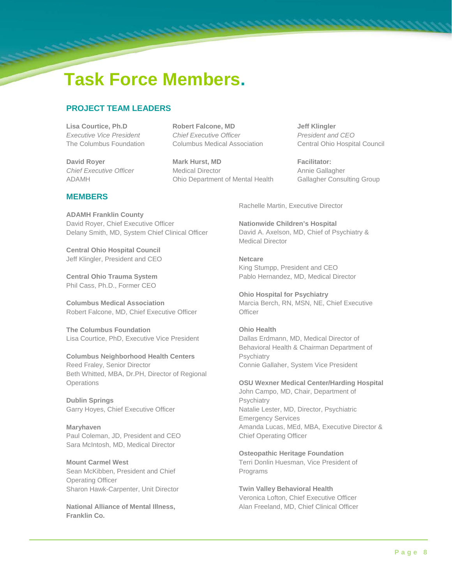# **Task Force Members.**

#### **PROJECT TEAM LEADERS**

**Lisa Courtice, Ph.D Robert Falcone, MD Jeff Klingler Executive Vice President** *Chief Executive Officer President and CEO* 

**David Royer Mark Hurst, MD Facilitator: Facilitator: Facilitator:** *Chief Executive Officer* Medical Director Annie Gallagher ADAMH Ohio Department of Mental HealthGallagher Consulting Group

The Columbus Foundation Columbus Medical Association Central Ohio Hospital Council

#### **MEMBERS**

**ADAMH Franklin County** David Royer, Chief Executive Officer Delany Smith, MD, System Chief Clinical Officer

**Central Ohio Hospital Council** Jeff Klingler, President and CEO

**Central Ohio Trauma System** Phil Cass, Ph.D., Former CEO

**Columbus Medical Association** Robert Falcone, MD, Chief Executive Officer

**The Columbus Foundation** Lisa Courtice, PhD, Executive Vice President

#### **Columbus Neighborhood Health Centers**

Reed Fraley, Senior Director Beth Whitted, MBA, Dr.PH, Director of Regional **Operations** 

**Dublin Springs** Garry Hoyes, Chief Executive Officer

**Maryhaven** Paul Coleman, JD, President and CEO Sara McIntosh, MD, Medical Director

**Mount Carmel West** Sean McKibben, President and Chief Operating Officer Sharon Hawk-Carpenter, Unit Director

**National Alliance of Mental Illness, Franklin Co.**

Rachelle Martin, Executive Director

**Nationwide Children's Hospital**  David A. Axelson, MD, Chief of Psychiatry & Medical Director

**Netcare** King Stumpp, President and CEO Pablo Hernandez, MD, Medical Director

**Ohio Hospital for Psychiatry**  Marcia Berch, RN, MSN, NE, Chief Executive **Officer** 

#### **Ohio Health** Dallas Erdmann, MD, Medical Director of Behavioral Health & Chairman Department of **Psychiatry**

Connie Gallaher, System Vice President

**OSU Wexner Medical Center/Harding Hospital**

John Campo, MD, Chair, Department of **Psychiatry** Natalie Lester, MD, Director, Psychiatric Emergency Services Amanda Lucas, MEd, MBA, Executive Director & Chief Operating Officer

**Osteopathic Heritage Foundation** Terri Donlin Huesman, Vice President of Programs

**Twin Valley Behavioral Health** Veronica Lofton, Chief Executive Officer Alan Freeland, MD, Chief Clinical Officer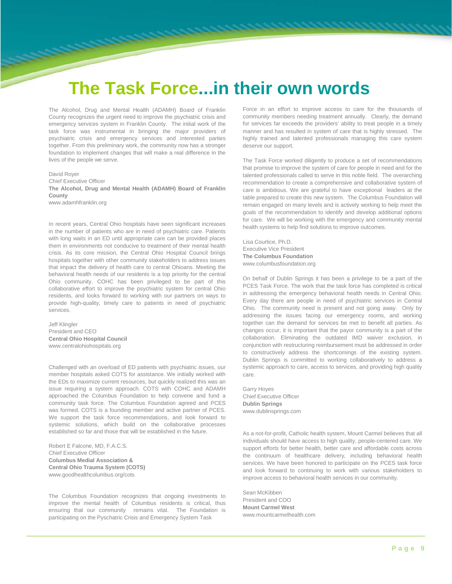### **The Task Force...in their own words**

The Alcohol, Drug and Mental Health (ADAMH) Board of Franklin County recognizes the urgent need to improve the psychiatric crisis and emergency services system in Franklin County. The initial work of the task force was instrumental in bringing the major providers of psychiatric crisis and emergency services and interested parties together. From this preliminary work, the community now has a stronger foundation to implement changes that will make a real difference in the lives of the people we serve.

David Royer

Chief Executive Officer **The Alcohol, Drug and Mental Health (ADAMH) Board of Franklin** 

**County** www.adamhfranklin.org

In recent years, Central Ohio hospitals have seen significant increases in the number of patients who are in need of psychiatric care. Patients with long waits in an ED until appropriate care can be provided places them in environments not conducive to treatment of their mental health crisis. As its core mission, the Central Ohio Hospital Council brings hospitals together with other community stakeholders to address issues that impact the delivery of health care to central Ohioans. Meeting the behavioral health needs of our residents is a top priority for the central Ohio community. COHC has been privileged to be part of this collaborative effort to improve the psychiatric system for central Ohio residents, and looks forward to working with our partners on ways to provide high-quality, timely care to patients in need of psychiatric services.

Jeff Klingler President and CEO **Central Ohio Hospital Council** www.centralohiohospitals.org

Challenged with an overload of ED patients with psychiatric issues, our member hospitals asked COTS for assistance. We initially worked with the EDs to maximize current resources, but quickly realized this was an issue requiring a system approach. COTS with COHC and ADAMH approached the Columbus Foundation to help convene and fund a community task force. The Columbus Foundation agreed and PCES was formed. COTS is a founding member and active partner of PCES. We support the task force recommendations, and look forward to systemic solutions, which build on the collaborative processes established so far and those that will be established in the future.

Robert E Falcone, MD, F.A.C.S. Chief Executive Officer **Columbus Medial Association & Central Ohio Trauma System (COTS)**  www.goodhealthcolumbus.org/cots

The Columbus Foundation recognizes that ongoing investments to improve the mental health of Columbus residents is critical, thus ensuring that our community remains vital. The Foundation is participating on the Pyschatric Crisis and Emergency System Task

Force in an effort to improve access to care for the thousands of community members needing treatment annually. Clearly, the demand for services far exceeds the providers' ability to treat people in a timely manner and has resulted in system of care that is highly stressed. The highly trained and talented professionals managing this care system deserve our support.

The Task Force worked diligently to produce a set of recommendations that promise to improve the system of care for people in need and for the talented professionals called to serve in this noble field. The overarching recommendation to create a comprehensive and collaborative system of care is ambitious. We are grateful to have exceptional leaders at the table prepared to create this new system. The Columbus Foundation will remain engaged on many levels and is actively working to help meet the goals of the recommendation to identify and develop additional options for care. We will be working with the emergency and community mental health systems to help find solutions to improve outcomes.

Lisa Courtice, Ph.D. Executive Vice President **The Columbus Foundation** www.columbusfoundation.org

On behalf of Dublin Springs it has been a privilege to be a part of the PCES Task Force. The work that the task force has completed is critical in addressing the emergency behavioral health needs in Central Ohio. Every day there are people in need of psychiatric services in Central Ohio. The community need is present and not going away. Only by addressing the issues facing our emergency rooms, and working together can the demand for services be met to benefit all parties. As changes occur, it is important that the payor community is a part of the collaboration. Eliminating the outdated IMD waiver exclusion, in conjunction with restructuring reimbursement must be addressed in order to constructively address the shortcomings of the existing system. Dublin Springs is committed to working collaboratively to address a systemic approach to care, access to services, and providing high quality care.

Garry Hoyes Chief Executive Officer **Dublin Springs** www.dublinsprings.com

As a not-for-profit, Catholic health system, Mount Carmel believes that all individuals should have access to high quality, people-centered care. We support efforts for better health, better care and affordable costs across the continuum of healthcare delivery, including behavioral health services. We have been honored to participate on the PCES task force and look forward to continuing to work with various stakeholders to improve access to behavioral health services in our community.

Sean McKibben President and COO **Mount Carmel West** www.mountcarmelhealth.com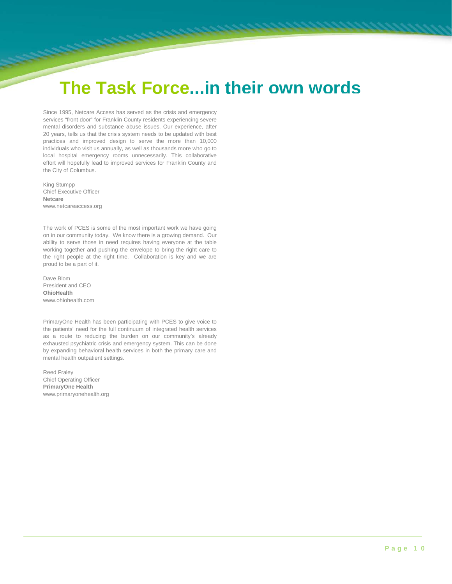#### **The Task Force...in their own words**

Since 1995, Netcare Access has served as the crisis and emergency services "front door" for Franklin County residents experiencing severe mental disorders and substance abuse issues. Our experience, after 20 years, tells us that the crisis system needs to be updated with best practices and improved design to serve the more than 10,000 individuals who visit us annually, as well as thousands more who go to local hospital emergency rooms unnecessarily. This collaborative effort will hopefully lead to improved services for Franklin County and the City of Columbus.

King Stumpp Chief Executive Officer **Netcare** www.netcareaccess.org

The work of PCES is some of the most important work we have going on in our community today. We know there is a growing demand. Our ability to serve those in need requires having everyone at the table working together and pushing the envelope to bring the right care to the right people at the right time. Collaboration is key and we are proud to be a part of it.

Dave Blom President and CEO **OhioHealth** www.ohiohealth.com

PrimaryOne Health has been participating with PCES to give voice to the patients' need for the full continuum of integrated health services as a route to reducing the burden on our community's already exhausted psychiatric crisis and emergency system. This can be done by expanding behavioral health services in both the primary care and mental health outpatient settings.

Reed Fraley Chief Operating Officer **PrimaryOne Health** www.primaryonehealth.org